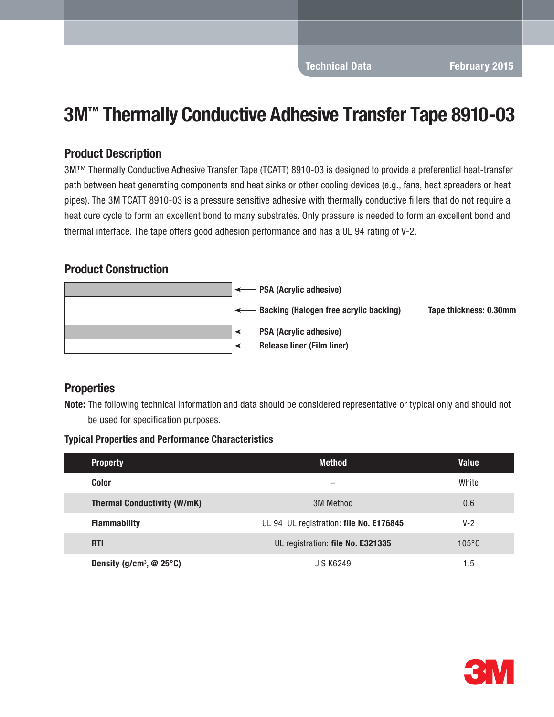# 3M™ Thermally Conductive Adhesive Transfer Tape 8910-03

### Product Description

3M™ Thermally Conductive Adhesive Transfer Tape (TCATT) 8910-03 is designed to provide a preferential heat-transfer path between heat generating components and heat sinks or other cooling devices (e.g., fans, heat spreaders or heat pipes). The 3M TCATT 8910-03 is a pressure sensitive adhesive with thermally conductive fillers that do not require a heat cure cycle to form an excellent bond to many substrates. Only pressure is needed to form an excellent bond and thermal interface. The tape offers good adhesion performance and has a UL 94 rating of V-2.

### Product Construction



### **Properties**

Note: The following technical information and data should be considered representative or typical only and should not

be used for specification purposes.

Typical Properties and Performance Characteristics

| <b>Property</b>                            | <b>Method</b>                           | <b>Value</b>    |
|--------------------------------------------|-----------------------------------------|-----------------|
| Color                                      |                                         | White           |
| <b>Thermal Conductivity (W/mK)</b>         | 3M Method                               | 0.6             |
| <b>Flammability</b>                        | UL 94 UL registration: file No. E176845 | $V-2$           |
| <b>RTI</b>                                 | UL registration: file No. E321335       | $105^{\circ}$ C |
| Density (g/cm <sup>3</sup> , $@$ 25 $°C$ ) | <b>JIS K6249</b>                        | 1.5             |

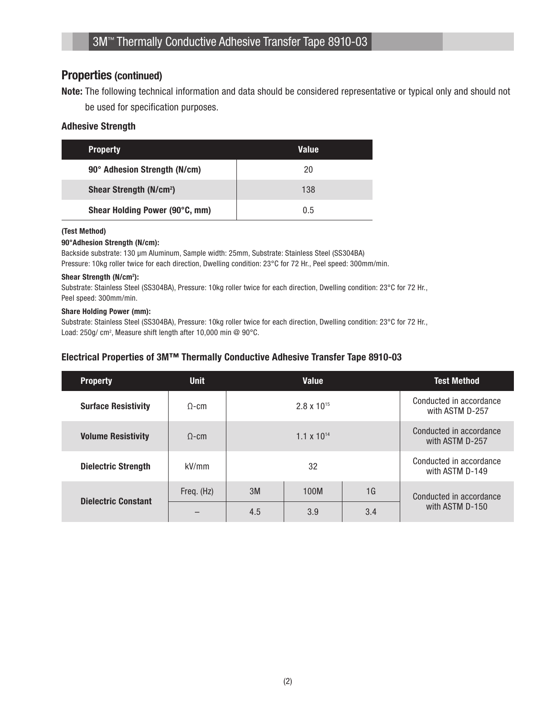### Properties (continued)

Note: The following technical information and data should be considered representative or typical only and should not be used for specification purposes.

### Adhesive Strength

| <b>Property</b>                     | Value |
|-------------------------------------|-------|
| 90° Adhesion Strength (N/cm)        | 20    |
| Shear Strength (N/cm <sup>2</sup> ) | 138   |
| Shear Holding Power (90°C, mm)      | 0.5   |

#### (Test Method)

#### 90°Adhesion Strength (N/cm):

Backside substrate: 130 µm Aluminum, Sample width: 25mm, Substrate: Stainless Steel (SS304BA) Pressure: 10kg roller twice for each direction, Dwelling condition: 23°C for 72 Hr., Peel speed: 300mm/min.

#### Shear Strength (N/cm<sup>2</sup>):

Substrate: Stainless Steel (SS304BA), Pressure: 10kg roller twice for each direction, Dwelling condition: 23°C for 72 Hr., Peel speed: 300mm/min.

#### Share Holding Power (mm):

Substrate: Stainless Steel (SS304BA), Pressure: 10kg roller twice for each direction, Dwelling condition: 23°C for 72 Hr., Load: 250g/ cm2 , Measure shift length after 10,000 min @ 90°C.

### Electrical Properties of 3M™ Thermally Conductive Adhesive Transfer Tape 8910-03

| <b>Property</b>            | <b>Unit</b>  | <b>Value</b> |                      | <b>Test Method</b> |                                            |
|----------------------------|--------------|--------------|----------------------|--------------------|--------------------------------------------|
| <b>Surface Resistivity</b> | $\Omega$ -cm |              | $2.8 \times 10^{15}$ |                    | Conducted in accordance<br>with ASTM D-257 |
| <b>Volume Resistivity</b>  | $\Omega$ -cm |              | $1.1 \times 10^{14}$ |                    | Conducted in accordance<br>with ASTM D-257 |
| <b>Dielectric Strength</b> | kV/mm        | 32           |                      |                    | Conducted in accordance<br>with ASTM D-149 |
| <b>Dielectric Constant</b> | Freq. (Hz)   | 3M           | 100M                 | 1 <sub>G</sub>     | Conducted in accordance<br>with ASTM D-150 |
|                            |              | 4.5          | 3.9                  | 3.4                |                                            |